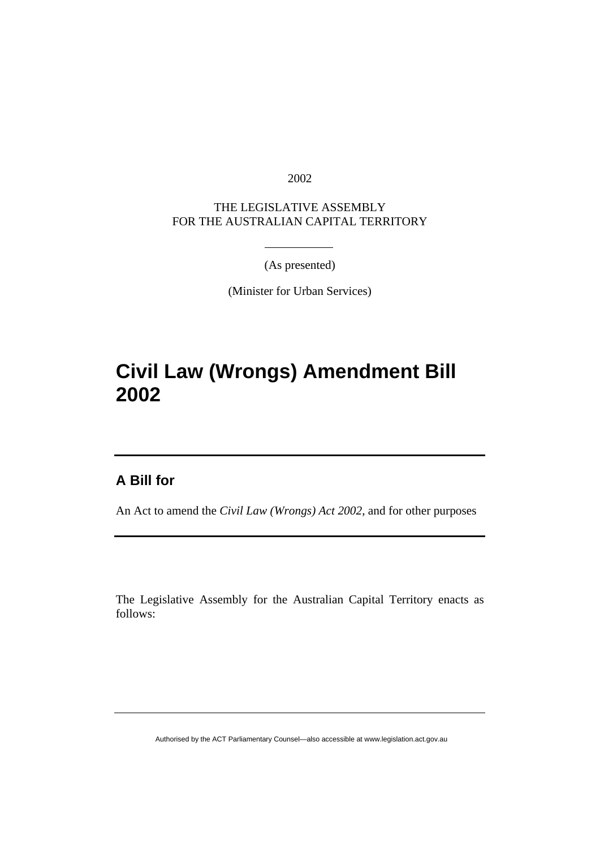2002

THE LEGISLATIVE ASSEMBLY FOR THE AUSTRALIAN CAPITAL TERRITORY

(As presented)

(Minister for Urban Services)

# **Civil Law (Wrongs) Amendment Bill 2002**

### **A Bill for**

An Act to amend the *Civil Law (Wrongs) Act 2002*, and for other purposes

The Legislative Assembly for the Australian Capital Territory enacts as follows:

Authorised by the ACT Parliamentary Counsel—also accessible at www.legislation.act.gov.au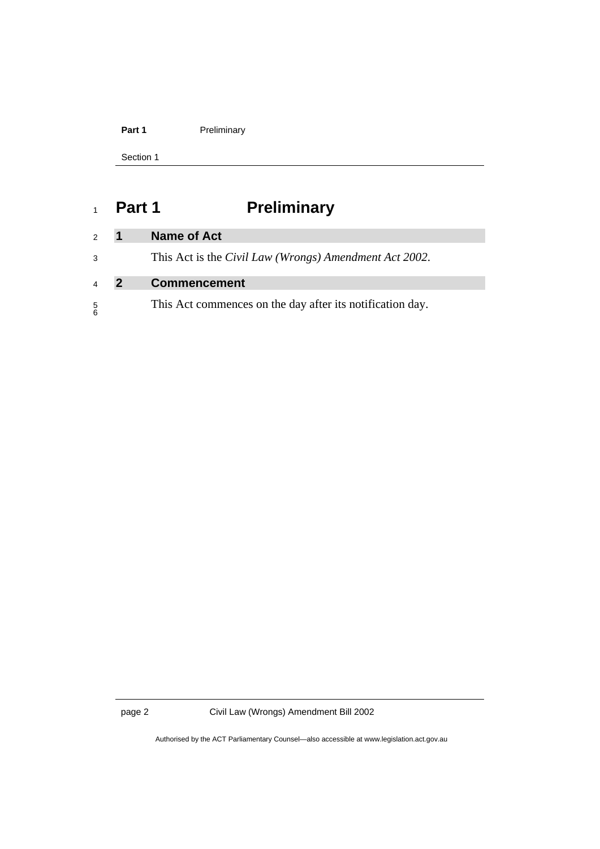| Preliminary |
|-------------|
|             |

Section 1

# <sup>1</sup>**Part 1 Preliminary**

| $\mathcal{P}$  | $\mathbf 1$ | Name of Act                                                            |
|----------------|-------------|------------------------------------------------------------------------|
| 3              |             | This Act is the <i>Civil Law</i> ( <i>Wrongs</i> ) Amendment Act 2002. |
|                |             |                                                                        |
| $\overline{4}$ | 2           | <b>Commencement</b>                                                    |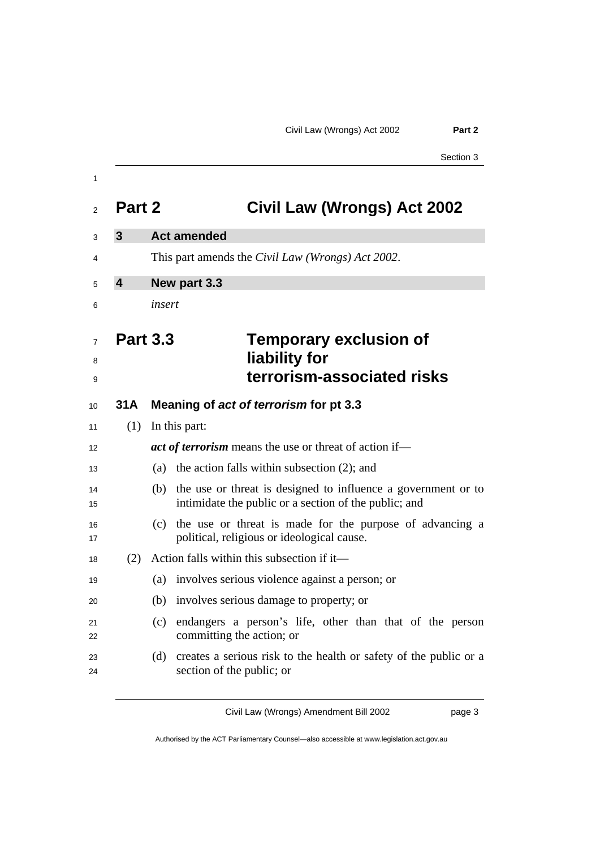|                         |        | <b>၁</b> ection ၁                                                                                                      |
|-------------------------|--------|------------------------------------------------------------------------------------------------------------------------|
| Part 2                  |        | Civil Law (Wrongs) Act 2002                                                                                            |
|                         |        |                                                                                                                        |
| $\mathbf{3}$            |        | <b>Act amended</b>                                                                                                     |
|                         |        | This part amends the <i>Civil Law</i> ( <i>Wrongs</i> ) <i>Act</i> 2002.                                               |
| $\overline{\mathbf{4}}$ |        | New part 3.3                                                                                                           |
|                         | insert |                                                                                                                        |
|                         |        |                                                                                                                        |
| <b>Part 3.3</b>         |        | <b>Temporary exclusion of</b>                                                                                          |
|                         |        | liability for                                                                                                          |
|                         |        | terrorism-associated risks                                                                                             |
| 31A                     |        | Meaning of act of terrorism for pt 3.3                                                                                 |
| (1)                     |        | In this part:                                                                                                          |
|                         |        | <i>act of terrorism</i> means the use or threat of action if—                                                          |
|                         |        | (a) the action falls within subsection $(2)$ ; and                                                                     |
|                         | (b)    | the use or threat is designed to influence a government or to<br>intimidate the public or a section of the public; and |
|                         | (c)    | the use or threat is made for the purpose of advancing a<br>political, religious or ideological cause.                 |
| (2)                     |        | Action falls within this subsection if it—                                                                             |
|                         | (a)    | involves serious violence against a person; or                                                                         |
|                         | (b)    | involves serious damage to property; or                                                                                |
|                         | (c)    | endangers a person's life, other than that of the person<br>committing the action; or                                  |
|                         | (d)    | creates a serious risk to the health or safety of the public or a                                                      |

Authorised by the ACT Parliamentary Counsel—also accessible at www.legislation.act.gov.au

Civil Law (Wrongs) Amendment Bill 2002 page 3

Section 3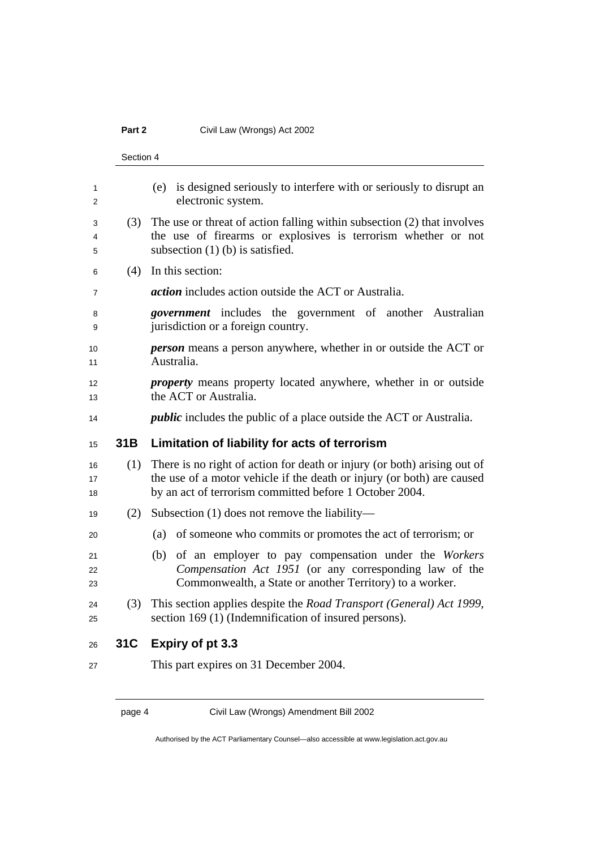#### Part 2 **Civil Law (Wrongs) Act 2002**

|                | Section 4 |                                                                                                                                                                                                               |  |  |  |  |
|----------------|-----------|---------------------------------------------------------------------------------------------------------------------------------------------------------------------------------------------------------------|--|--|--|--|
| 1<br>2         |           | is designed seriously to interfere with or seriously to disrupt an<br>(e)<br>electronic system.                                                                                                               |  |  |  |  |
| 3<br>4<br>5    | (3)       | The use or threat of action falling within subsection (2) that involves<br>the use of firearms or explosives is terrorism whether or not<br>subsection $(1)$ (b) is satisfied.                                |  |  |  |  |
| 6              | (4)       | In this section:                                                                                                                                                                                              |  |  |  |  |
| 7              |           | <i>action</i> includes action outside the ACT or Australia.                                                                                                                                                   |  |  |  |  |
| 8<br>9         |           | <i>government</i> includes the government of another Australian<br>jurisdiction or a foreign country.                                                                                                         |  |  |  |  |
| 10<br>11       |           | <b>person</b> means a person anywhere, whether in or outside the ACT or<br>Australia.                                                                                                                         |  |  |  |  |
| 12<br>13       |           | <i>property</i> means property located anywhere, whether in or outside<br>the ACT or Australia.                                                                                                               |  |  |  |  |
| 14             |           | <i>public</i> includes the public of a place outside the ACT or Australia.                                                                                                                                    |  |  |  |  |
| 15             | 31B       | Limitation of liability for acts of terrorism                                                                                                                                                                 |  |  |  |  |
| 16<br>17<br>18 | (1)       | There is no right of action for death or injury (or both) arising out of<br>the use of a motor vehicle if the death or injury (or both) are caused<br>by an act of terrorism committed before 1 October 2004. |  |  |  |  |
| 19             | (2)       | Subsection $(1)$ does not remove the liability—                                                                                                                                                               |  |  |  |  |
| 20             |           | of someone who commits or promotes the act of terrorism; or<br>(a)                                                                                                                                            |  |  |  |  |
| 21<br>22<br>23 |           | of an employer to pay compensation under the Workers<br>(b)<br>Compensation Act 1951 (or any corresponding law of the<br>Commonwealth, a State or another Territory) to a worker.                             |  |  |  |  |
| 24<br>25       | (3)       | This section applies despite the Road Transport (General) Act 1999,<br>section 169 (1) (Indemnification of insured persons).                                                                                  |  |  |  |  |
| 26             | 31C       | Expiry of pt 3.3<br>$\sim$ 0.4 $\sim$<br>$\sim$ 0.0 $\prime$<br><del>…</del>                                                                                                                                  |  |  |  |  |

This part expires on 31 December 2004.

page 4 Civil Law (Wrongs) Amendment Bill 2002

Authorised by the ACT Parliamentary Counsel—also accessible at www.legislation.act.gov.au